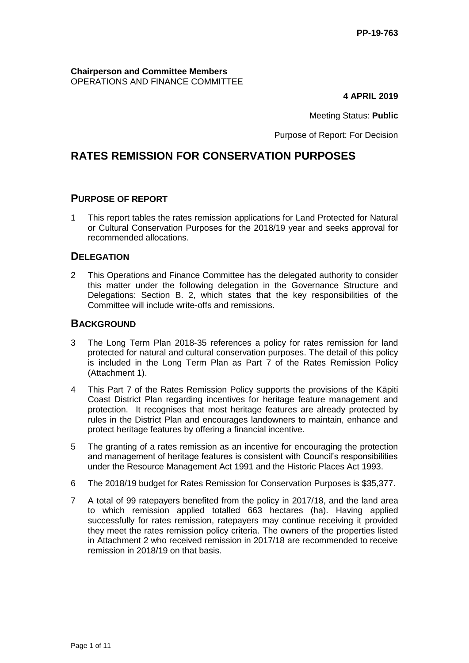**Chairperson and Committee Members** OPERATIONS AND FINANCE COMMITTEE

**4 APRIL 2019**

Meeting Status: **Public**

Purpose of Report: For Decision

# **RATES REMISSION FOR CONSERVATION PURPOSES**

### **PURPOSE OF REPORT**

1 This report tables the rates remission applications for Land Protected for Natural or Cultural Conservation Purposes for the 2018/19 year and seeks approval for recommended allocations.

#### **DELEGATION**

2 This Operations and Finance Committee has the delegated authority to consider this matter under the following delegation in the Governance Structure and Delegations: Section B. 2, which states that the key responsibilities of the Committee will include write-offs and remissions.

### **BACKGROUND**

- 3 The Long Term Plan 2018-35 references a policy for rates remission for land protected for natural and cultural conservation purposes. The detail of this policy is included in the Long Term Plan as Part 7 of the Rates Remission Policy (Attachment 1).
- 4 This Part 7 of the Rates Remission Policy supports the provisions of the Kāpiti Coast District Plan regarding incentives for heritage feature management and protection. It recognises that most heritage features are already protected by rules in the District Plan and encourages landowners to maintain, enhance and protect heritage features by offering a financial incentive.
- 5 The granting of a rates remission as an incentive for encouraging the protection and management of heritage features is consistent with Council's responsibilities under the Resource Management Act 1991 and the Historic Places Act 1993.
- 6 The 2018/19 budget for Rates Remission for Conservation Purposes is \$35,377.
- 7 A total of 99 ratepayers benefited from the policy in 2017/18, and the land area to which remission applied totalled 663 hectares (ha). Having applied successfully for rates remission, ratepayers may continue receiving it provided they meet the rates remission policy criteria. The owners of the properties listed in Attachment 2 who received remission in 2017/18 are recommended to receive remission in 2018/19 on that basis.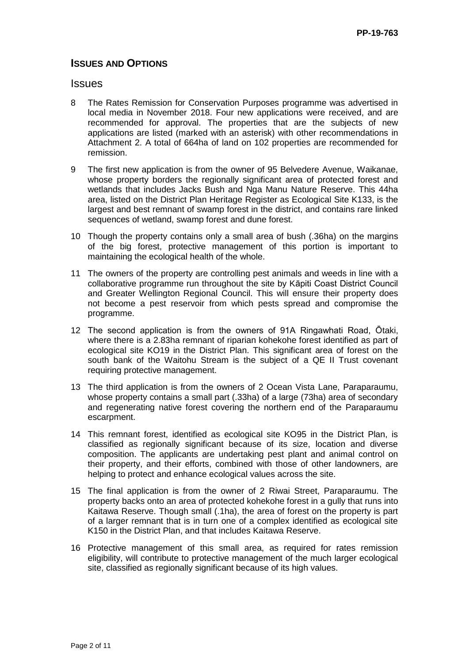### **ISSUES AND OPTIONS**

### **Issues**

- 8 The Rates Remission for Conservation Purposes programme was advertised in local media in November 2018. Four new applications were received, and are recommended for approval. The properties that are the subjects of new applications are listed (marked with an asterisk) with other recommendations in Attachment 2. A total of 664ha of land on 102 properties are recommended for remission.
- 9 The first new application is from the owner of 95 Belvedere Avenue, Waikanae, whose property borders the regionally significant area of protected forest and wetlands that includes Jacks Bush and Nga Manu Nature Reserve. This 44ha area, listed on the District Plan Heritage Register as Ecological Site K133, is the largest and best remnant of swamp forest in the district, and contains rare linked sequences of wetland, swamp forest and dune forest.
- 10 Though the property contains only a small area of bush (.36ha) on the margins of the big forest, protective management of this portion is important to maintaining the ecological health of the whole.
- 11 The owners of the property are controlling pest animals and weeds in line with a collaborative programme run throughout the site by Kāpiti Coast District Council and Greater Wellington Regional Council. This will ensure their property does not become a pest reservoir from which pests spread and compromise the programme.
- 12 The second application is from the owners of 91A Ringawhati Road, Ōtaki, where there is a 2.83ha remnant of riparian kohekohe forest identified as part of ecological site KO19 in the District Plan. This significant area of forest on the south bank of the Waitohu Stream is the subject of a QE II Trust covenant requiring protective management.
- 13 The third application is from the owners of 2 Ocean Vista Lane, Paraparaumu, whose property contains a small part (.33ha) of a large (73ha) area of secondary and regenerating native forest covering the northern end of the Paraparaumu escarpment.
- 14 This remnant forest, identified as ecological site KO95 in the District Plan, is classified as regionally significant because of its size, location and diverse composition. The applicants are undertaking pest plant and animal control on their property, and their efforts, combined with those of other landowners, are helping to protect and enhance ecological values across the site.
- 15 The final application is from the owner of 2 Riwai Street, Paraparaumu. The property backs onto an area of protected kohekohe forest in a gully that runs into Kaitawa Reserve. Though small (.1ha), the area of forest on the property is part of a larger remnant that is in turn one of a complex identified as ecological site K150 in the District Plan, and that includes Kaitawa Reserve.
- 16 Protective management of this small area, as required for rates remission eligibility, will contribute to protective management of the much larger ecological site, classified as regionally significant because of its high values.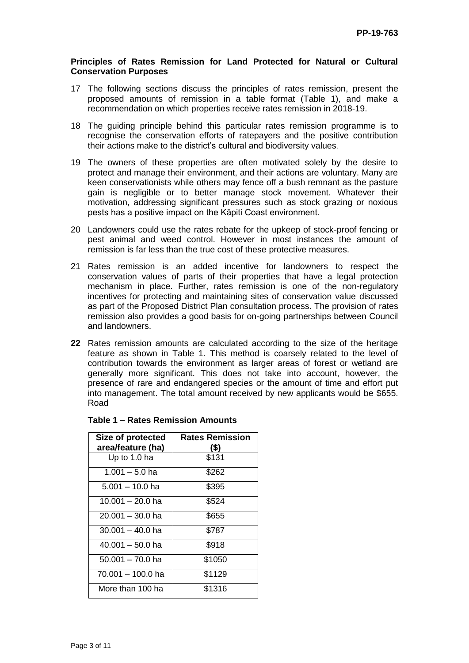#### **Principles of Rates Remission for Land Protected for Natural or Cultural Conservation Purposes**

- 17 The following sections discuss the principles of rates remission, present the proposed amounts of remission in a table format (Table 1), and make a recommendation on which properties receive rates remission in 2018-19.
- 18 The guiding principle behind this particular rates remission programme is to recognise the conservation efforts of ratepayers and the positive contribution their actions make to the district's cultural and biodiversity values.
- 19 The owners of these properties are often motivated solely by the desire to protect and manage their environment, and their actions are voluntary. Many are keen conservationists while others may fence off a bush remnant as the pasture gain is negligible or to better manage stock movement. Whatever their motivation, addressing significant pressures such as stock grazing or noxious pests has a positive impact on the Kāpiti Coast environment.
- 20 Landowners could use the rates rebate for the upkeep of stock-proof fencing or pest animal and weed control. However in most instances the amount of remission is far less than the true cost of these protective measures.
- 21 Rates remission is an added incentive for landowners to respect the conservation values of parts of their properties that have a legal protection mechanism in place. Further, rates remission is one of the non-regulatory incentives for protecting and maintaining sites of conservation value discussed as part of the Proposed District Plan consultation process. The provision of rates remission also provides a good basis for on-going partnerships between Council and landowners.
- **22** Rates remission amounts are calculated according to the size of the heritage feature as shown in Table 1. This method is coarsely related to the level of contribution towards the environment as larger areas of forest or wetland are generally more significant. This does not take into account, however, the presence of rare and endangered species or the amount of time and effort put into management. The total amount received by new applicants would be \$655. Road

| Size of protected  | <b>Rates Remission</b> |  |
|--------------------|------------------------|--|
| area/feature (ha)  | (S)                    |  |
| Up to 1.0 ha       | \$131                  |  |
| $1.001 - 5.0$ ha   | \$262                  |  |
| $5.001 - 10.0$ ha  | \$395                  |  |
| 10.001 – 20.0 ha   | \$524                  |  |
| $20.001 - 30.0$ ha | \$655                  |  |
| $30.001 - 40.0$ ha | \$787                  |  |
| 40.001 – 50.0 ha   | \$918                  |  |
| $50.001 - 70.0$ ha | \$1050                 |  |
| 70.001 - 100.0 ha  | \$1129                 |  |
| More than 100 ha   | \$1316                 |  |

#### **Table 1 – Rates Remission Amounts**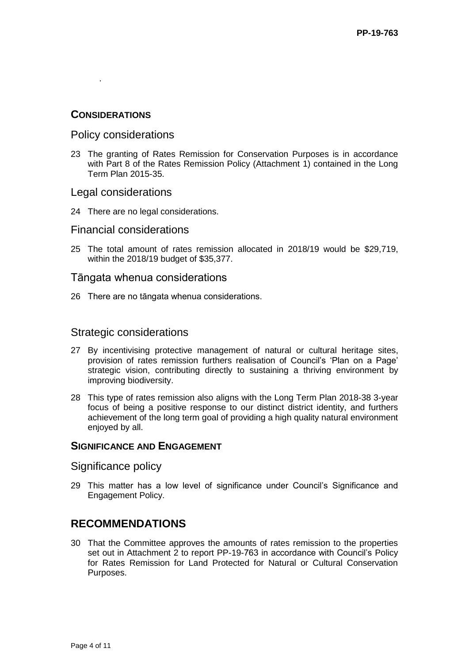### **CONSIDERATIONS**

.

### Policy considerations

23 The granting of Rates Remission for Conservation Purposes is in accordance with Part 8 of the Rates Remission Policy (Attachment 1) contained in the Long Term Plan 2015-35.

### Legal considerations

24 There are no legal considerations.

### Financial considerations

25 The total amount of rates remission allocated in 2018/19 would be \$29,719, within the 2018/19 budget of \$35,377.

#### Tāngata whenua considerations

26 There are no tāngata whenua considerations.

### Strategic considerations

- 27 By incentivising protective management of natural or cultural heritage sites, provision of rates remission furthers realisation of Council's 'Plan on a Page' strategic vision, contributing directly to sustaining a thriving environment by improving biodiversity.
- 28 This type of rates remission also aligns with the Long Term Plan 2018-38 3-year focus of being a positive response to our distinct district identity, and furthers achievement of the long term goal of providing a high quality natural environment enjoyed by all.

#### **SIGNIFICANCE AND ENGAGEMENT**

#### Significance policy

29 This matter has a low level of significance under Council's Significance and Engagement Policy.

# **RECOMMENDATIONS**

30 That the Committee approves the amounts of rates remission to the properties set out in Attachment 2 to report PP-19-763 in accordance with Council's Policy for Rates Remission for Land Protected for Natural or Cultural Conservation Purposes.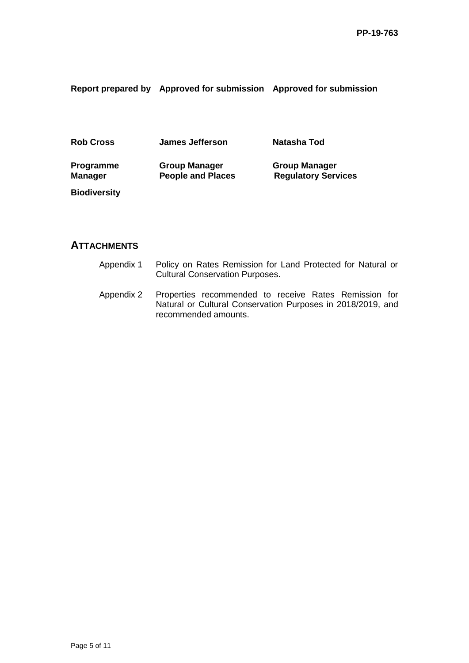**Report prepared by Approved for submission Approved for submission**

| <b>Rob Cross</b>                   | James Jefferson                                  | Natasha Tod                                        |
|------------------------------------|--------------------------------------------------|----------------------------------------------------|
| <b>Programme</b><br><b>Manager</b> | <b>Group Manager</b><br><b>People and Places</b> | <b>Group Manager</b><br><b>Regulatory Services</b> |
| <b>Biodiversity</b>                |                                                  |                                                    |

## **ATTACHMENTS**

- Appendix 1 Policy on Rates Remission for Land Protected for Natural or Cultural Conservation Purposes.
- Appendix 2 Properties recommended to receive Rates Remission for Natural or Cultural Conservation Purposes in 2018/2019, and recommended amounts.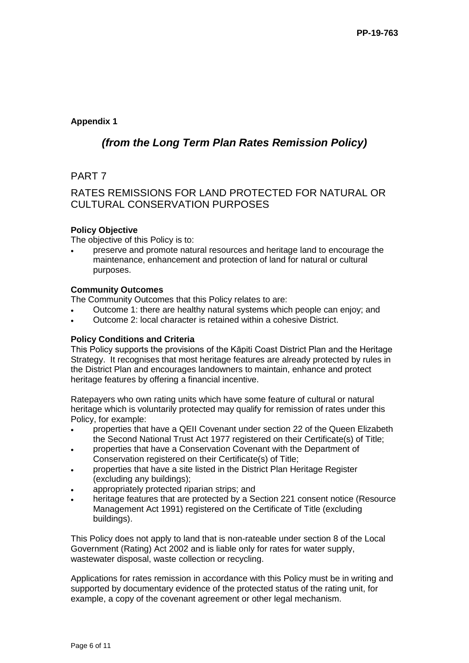### **Appendix 1**

# *(from the Long Term Plan Rates Remission Policy)*

## PART 7

## RATES REMISSIONS FOR LAND PROTECTED FOR NATURAL OR CULTURAL CONSERVATION PURPOSES

### **Policy Objective**

The objective of this Policy is to:

 preserve and promote natural resources and heritage land to encourage the maintenance, enhancement and protection of land for natural or cultural purposes.

#### **Community Outcomes**

The Community Outcomes that this Policy relates to are:

- Outcome 1: there are healthy natural systems which people can enjoy; and
- Outcome 2: local character is retained within a cohesive District.

#### **Policy Conditions and Criteria**

This Policy supports the provisions of the Kāpiti Coast District Plan and the Heritage Strategy. It recognises that most heritage features are already protected by rules in the District Plan and encourages landowners to maintain, enhance and protect heritage features by offering a financial incentive.

Ratepayers who own rating units which have some feature of cultural or natural heritage which is voluntarily protected may qualify for remission of rates under this Policy, for example:

- properties that have a QEII Covenant under section 22 of the Queen Elizabeth the Second National Trust Act 1977 registered on their Certificate(s) of Title;
- properties that have a Conservation Covenant with the Department of Conservation registered on their Certificate(s) of Title;
- properties that have a site listed in the District Plan Heritage Register (excluding any buildings);
- appropriately protected riparian strips; and
- heritage features that are protected by a Section 221 consent notice (Resource Management Act 1991) registered on the Certificate of Title (excluding buildings).

This Policy does not apply to land that is non-rateable under section 8 of the Local Government (Rating) Act 2002 and is liable only for rates for water supply, wastewater disposal, waste collection or recycling.

Applications for rates remission in accordance with this Policy must be in writing and supported by documentary evidence of the protected status of the rating unit, for example, a copy of the covenant agreement or other legal mechanism.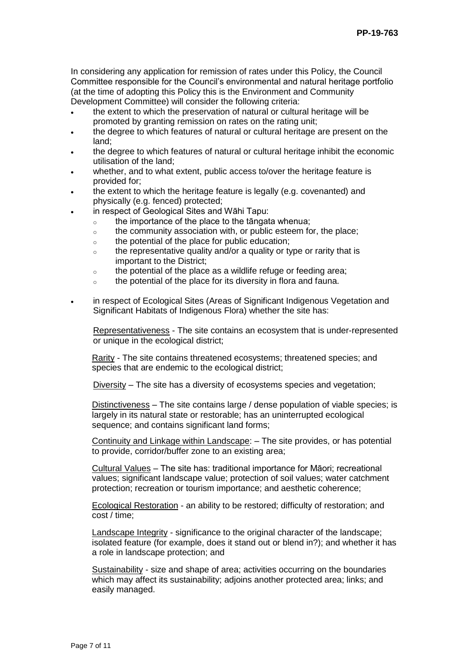In considering any application for remission of rates under this Policy, the Council Committee responsible for the Council's environmental and natural heritage portfolio (at the time of adopting this Policy this is the Environment and Community Development Committee) will consider the following criteria:

- the extent to which the preservation of natural or cultural heritage will be promoted by granting remission on rates on the rating unit;
- the degree to which features of natural or cultural heritage are present on the land;
- the degree to which features of natural or cultural heritage inhibit the economic utilisation of the land;
- whether, and to what extent, public access to/over the heritage feature is provided for;
- the extent to which the heritage feature is legally (e.g. covenanted) and physically (e.g. fenced) protected;
- in respect of Geological Sites and Wāhi Tapu:
	- $\circ$  the importance of the place to the tāngata whenua;
	- o the community association with, or public esteem for, the place;
	- o the potential of the place for public education;
	- $\circ$  the representative quality and/or a quality or type or rarity that is important to the District;
	- o the potential of the place as a wildlife refuge or feeding area;
	- o the potential of the place for its diversity in flora and fauna.
- in respect of Ecological Sites (Areas of Significant Indigenous Vegetation and Significant Habitats of Indigenous Flora) whether the site has:

Representativeness - The site contains an ecosystem that is under-represented or unique in the ecological district;

Rarity - The site contains threatened ecosystems; threatened species; and species that are endemic to the ecological district;

Diversity – The site has a diversity of ecosystems species and vegetation;

Distinctiveness - The site contains large / dense population of viable species; is largely in its natural state or restorable; has an uninterrupted ecological sequence; and contains significant land forms;

Continuity and Linkage within Landscape: – The site provides, or has potential to provide, corridor/buffer zone to an existing area;

Cultural Values – The site has: traditional importance for Māori; recreational values; significant landscape value; protection of soil values; water catchment protection; recreation or tourism importance; and aesthetic coherence;

Ecological Restoration - an ability to be restored; difficulty of restoration; and cost / time;

Landscape Integrity - significance to the original character of the landscape; isolated feature (for example, does it stand out or blend in?); and whether it has a role in landscape protection; and

Sustainability - size and shape of area; activities occurring on the boundaries which may affect its sustainability; adjoins another protected area; links; and easily managed.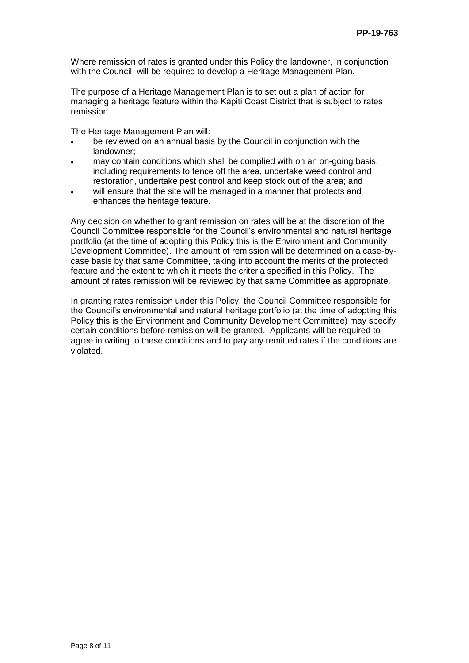Where remission of rates is granted under this Policy the landowner, in conjunction with the Council, will be required to develop a Heritage Management Plan.

The purpose of a Heritage Management Plan is to set out a plan of action for managing a heritage feature within the Kāpiti Coast District that is subject to rates remission.

The Heritage Management Plan will:

- be reviewed on an annual basis by the Council in conjunction with the landowner;
- may contain conditions which shall be complied with on an on-going basis, including requirements to fence off the area, undertake weed control and restoration, undertake pest control and keep stock out of the area; and
- will ensure that the site will be managed in a manner that protects and enhances the heritage feature.

Any decision on whether to grant remission on rates will be at the discretion of the Council Committee responsible for the Council's environmental and natural heritage portfolio (at the time of adopting this Policy this is the Environment and Community Development Committee). The amount of remission will be determined on a case-bycase basis by that same Committee, taking into account the merits of the protected feature and the extent to which it meets the criteria specified in this Policy. The amount of rates remission will be reviewed by that same Committee as appropriate.

In granting rates remission under this Policy, the Council Committee responsible for the Council's environmental and natural heritage portfolio (at the time of adopting this Policy this is the Environment and Community Development Committee) may specify certain conditions before remission will be granted. Applicants will be required to agree in writing to these conditions and to pay any remitted rates if the conditions are violated.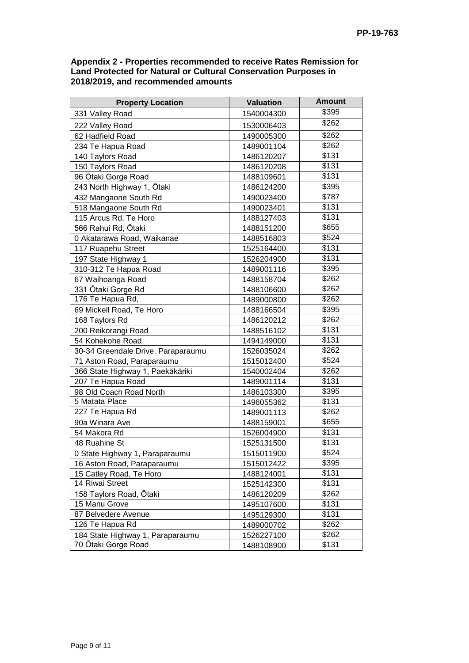#### **Appendix 2 - Properties recommended to receive Rates Remission for Land Protected for Natural or Cultural Conservation Purposes in 2018/2019, and recommended amounts**

| <b>Property Location</b>           | <b>Valuation</b> | <b>Amount</b> |
|------------------------------------|------------------|---------------|
| 331 Valley Road                    | 1540004300       | \$395         |
| 222 Valley Road                    | 1530006403       | \$262         |
| 62 Hadfield Road                   | 1490005300       | \$262         |
| 234 Te Hapua Road                  | 1489001104       | \$262         |
| 140 Taylors Road                   | 1486120207       | \$131         |
| 150 Taylors Road                   | 1486120208       | \$131         |
| 96 Ōtaki Gorge Road                | 1488109601       | \$131         |
| 243 North Highway 1, Otaki         | 1486124200       | \$395         |
| 432 Mangaone South Rd              | 1490023400       | \$787         |
| 518 Mangaone South Rd              | 1490023401       | \$131         |
| 115 Arcus Rd, Te Horo              | 1488127403       | \$131         |
| 566 Rahui Rd, Ōtaki                | 1488151200       | \$655         |
| 0 Akatarawa Road, Waikanae         | 1488516803       | \$524         |
| 117 Ruapehu Street                 | 1525164400       | \$131         |
| 197 State Highway 1                | 1526204900       | \$131         |
| 310-312 Te Hapua Road              | 1489001116       | \$395         |
| 67 Waihoanga Road                  | 1488158704       | \$262         |
| 331 Ōtaki Gorge Rd                 | 1488106600       | \$262         |
| 176 Te Hapua Rd,                   | 1489000800       | \$262         |
| 69 Mickell Road, Te Horo           | 1488166504       | \$395         |
| 168 Taylors Rd                     | 1486120212       | \$262         |
| 200 Reikorangi Road                | 1488516102       | \$131         |
| 54 Kohekohe Road                   | 1494149000       | \$131         |
| 30-34 Greendale Drive, Paraparaumu | 1526035024       | \$262         |
| 71 Aston Road, Paraparaumu         | 1515012400       | \$524         |
| 366 State Highway 1, Paekākāriki   | 1540002404       | \$262         |
| 207 Te Hapua Road                  | 1489001114       | \$131         |
| 98 Old Coach Road North            | 1486103300       | \$395         |
| 5 Matata Place                     | 1496055362       | \$131         |
| 227 Te Hapua Rd                    | 1489001113       | \$262         |
| 90a Winara Ave                     | 1488159001       | \$655         |
| 54 Makora Rd                       | 1526004900       | \$131         |
| 48 Ruahine St                      | 1525131500       | \$131         |
| 0 State Highway 1, Paraparaumu     | 1515011900       | \$524         |
| 16 Aston Road, Paraparaumu         | 1515012422       | \$395         |
| 15 Catley Road, Te Horo            | 1488124001       | \$131         |
| 14 Riwai Street                    | 1525142300       | \$131         |
| 158 Taylors Road, Ōtaki            | 1486120209       | \$262         |
| 15 Manu Grove                      | 1495107600       | \$131         |
| 87 Belvedere Avenue                | 1495129300       | \$131         |
| 126 Te Hapua Rd                    | 1489000702       | \$262         |
| 184 State Highway 1, Paraparaumu   | 1526227100       | \$262         |
| 70 Ōtaki Gorge Road                | 1488108900       | \$131         |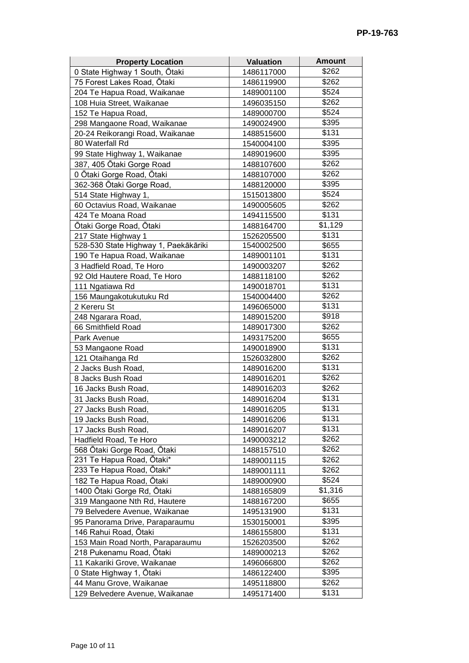| <b>Property Location</b>             | <b>Valuation</b> | <b>Amount</b> |
|--------------------------------------|------------------|---------------|
| 0 State Highway 1 South, Ōtaki       | 1486117000       | \$262         |
| 75 Forest Lakes Road, Ōtaki          | 1486119900       | \$262         |
| 204 Te Hapua Road, Waikanae          | 1489001100       | \$524         |
| 108 Huia Street, Waikanae            | 1496035150       | \$262         |
| 152 Te Hapua Road,                   | 1489000700       | \$524         |
| 298 Mangaone Road, Waikanae          | 1490024900       | \$395         |
| 20-24 Reikorangi Road, Waikanae      | 1488515600       | \$131         |
| 80 Waterfall Rd                      | 1540004100       | \$395         |
| 99 State Highway 1, Waikanae         | 1489019600       | \$395         |
| 387, 405 Ōtaki Gorge Road            | 1488107600       | \$262         |
| 0 Ōtaki Gorge Road, Ōtaki            | 1488107000       | \$262         |
| 362-368 Ōtaki Gorge Road,            | 1488120000       | \$395         |
| 514 State Highway 1,                 | 1515013800       | \$524         |
| 60 Octavius Road, Waikanae           | 1490005605       | \$262         |
| 424 Te Moana Road                    | 1494115500       | \$131         |
| Ōtaki Gorge Road, Ōtaki              | 1488164700       | \$1,129       |
| 217 State Highway 1                  | 1526205500       | \$131         |
| 528-530 State Highway 1, Paekākāriki | 1540002500       | \$655         |
| 190 Te Hapua Road, Waikanae          | 1489001101       | \$131         |
| 3 Hadfield Road, Te Horo             | 1490003207       | \$262         |
| 92 Old Hautere Road, Te Horo         | 1488118100       | \$262         |
| 111 Ngatiawa Rd                      | 1490018701       | \$131         |
| 156 Maungakotukutuku Rd              | 1540004400       | \$262         |
| 2 Kereru St                          | 1496065000       | \$131         |
| 248 Ngarara Road,                    | 1489015200       | \$918         |
| 66 Smithfield Road                   | 1489017300       | \$262         |
| Park Avenue                          | 1493175200       | \$655         |
| 53 Mangaone Road                     | 1490018900       | \$131         |
| 121 Otaihanga Rd                     | 1526032800       | \$262         |
| 2 Jacks Bush Road,                   | 1489016200       | \$131         |
| 8 Jacks Bush Road                    | 1489016201       | \$262         |
| 16 Jacks Bush Road,                  | 1489016203       | \$262         |
| 31 Jacks Bush Road,                  | 1489016204       | \$131         |
| 27 Jacks Bush Road,                  | 1489016205       | \$131         |
| 19 Jacks Bush Road,                  | 1489016206       | \$131         |
| 17 Jacks Bush Road,                  | 1489016207       | \$131         |
| Hadfield Road, Te Horo               | 1490003212       | \$262         |
| 568 Ōtaki Gorge Road, Ōtaki          | 1488157510       | \$262         |
| 231 Te Hapua Road, Ōtaki*            | 1489001115       | \$262         |
| 233 Te Hapua Road, Ōtaki*            | 1489001111       | \$262         |
| 182 Te Hapua Road, Ōtaki             | 1489000900       | \$524         |
| 1400 Ōtaki Gorge Rd, Ōtaki           | 1488165809       | \$1,316       |
| 319 Mangaone Nth Rd, Hautere         | 1488167200       | \$655         |
| 79 Belvedere Avenue, Waikanae        | 1495131900       | \$131         |
| 95 Panorama Drive, Paraparaumu       | 1530150001       | \$395         |
| 146 Rahui Road, Ōtaki                | 1486155800       | \$131         |
| 153 Main Road North, Paraparaumu     | 1526203500       | \$262         |
| 218 Pukenamu Road, Ōtaki             | 1489000213       | \$262         |
| 11 Kakariki Grove, Waikanae          | 1496066800       | \$262         |
| 0 State Highway 1, Ōtaki             | 1486122400       | \$395         |
| 44 Manu Grove, Waikanae              | 1495118800       | \$262         |
| 129 Belvedere Avenue, Waikanae       | 1495171400       | \$131         |